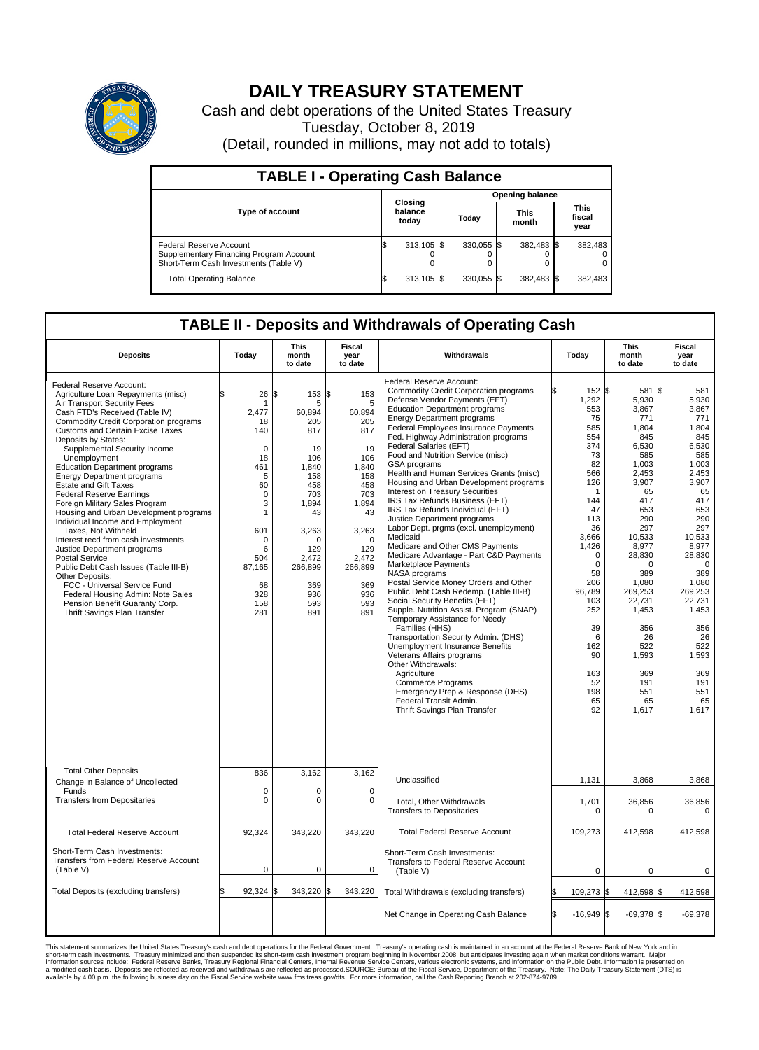

## **DAILY TREASURY STATEMENT**

Cash and debt operations of the United States Treasury Tuesday, October 8, 2019 (Detail, rounded in millions, may not add to totals)

| <b>TABLE I - Operating Cash Balance</b>                                                                     |                             |            |                        |              |                      |            |                               |         |  |  |  |
|-------------------------------------------------------------------------------------------------------------|-----------------------------|------------|------------------------|--------------|----------------------|------------|-------------------------------|---------|--|--|--|
|                                                                                                             | Closing<br>balance<br>today |            | <b>Opening balance</b> |              |                      |            |                               |         |  |  |  |
| <b>Type of account</b>                                                                                      |                             |            | Today                  |              | <b>This</b><br>month |            | <b>This</b><br>fiscal<br>year |         |  |  |  |
| Federal Reserve Account<br>Supplementary Financing Program Account<br>Short-Term Cash Investments (Table V) |                             | 313,105 \$ |                        | $330.055$ \$ |                      | 382,483 \$ |                               | 382,483 |  |  |  |
| <b>Total Operating Balance</b>                                                                              | IЭ                          | 313,105 \$ |                        | 330,055 \$   |                      | 382,483 \$ |                               | 382,483 |  |  |  |

## **TABLE II - Deposits and Withdrawals of Operating Cash**

| <b>Deposits</b>                                                                                                                                                                                                                                                                                                                                                                                                                                                                                                                                                                                                                                                                                                                                                                                                                                                                     | Today                                                                                                                                                            | This<br>month<br>to date                                                                                                                                              | <b>Fiscal</b><br>year<br>to date                                                                                                                                              | Withdrawals                                                                                                                                                                                                                                                                                                                                                                                                                                                                                                                                                                                                                                                                                                                                                                                                                                                                                                                                                                                                                                                                                                                                                                                                                                                      | Today                                                                                                                                                                                                                                                             | This<br>month<br>to date                                                                                                                                                                                                                                                   | Fiscal<br>year<br>to date                                                                                                                                                                                                                                                                   |
|-------------------------------------------------------------------------------------------------------------------------------------------------------------------------------------------------------------------------------------------------------------------------------------------------------------------------------------------------------------------------------------------------------------------------------------------------------------------------------------------------------------------------------------------------------------------------------------------------------------------------------------------------------------------------------------------------------------------------------------------------------------------------------------------------------------------------------------------------------------------------------------|------------------------------------------------------------------------------------------------------------------------------------------------------------------|-----------------------------------------------------------------------------------------------------------------------------------------------------------------------|-------------------------------------------------------------------------------------------------------------------------------------------------------------------------------|------------------------------------------------------------------------------------------------------------------------------------------------------------------------------------------------------------------------------------------------------------------------------------------------------------------------------------------------------------------------------------------------------------------------------------------------------------------------------------------------------------------------------------------------------------------------------------------------------------------------------------------------------------------------------------------------------------------------------------------------------------------------------------------------------------------------------------------------------------------------------------------------------------------------------------------------------------------------------------------------------------------------------------------------------------------------------------------------------------------------------------------------------------------------------------------------------------------------------------------------------------------|-------------------------------------------------------------------------------------------------------------------------------------------------------------------------------------------------------------------------------------------------------------------|----------------------------------------------------------------------------------------------------------------------------------------------------------------------------------------------------------------------------------------------------------------------------|---------------------------------------------------------------------------------------------------------------------------------------------------------------------------------------------------------------------------------------------------------------------------------------------|
| Federal Reserve Account:<br>Agriculture Loan Repayments (misc)<br>Air Transport Security Fees<br>Cash FTD's Received (Table IV)<br>Commodity Credit Corporation programs<br><b>Customs and Certain Excise Taxes</b><br>Deposits by States:<br>Supplemental Security Income<br>Unemployment<br><b>Education Department programs</b><br><b>Energy Department programs</b><br><b>Estate and Gift Taxes</b><br><b>Federal Reserve Earnings</b><br>Foreign Military Sales Program<br>Housing and Urban Development programs<br>Individual Income and Employment<br>Taxes. Not Withheld<br>Interest recd from cash investments<br>Justice Department programs<br><b>Postal Service</b><br>Public Debt Cash Issues (Table III-B)<br>Other Deposits:<br>FCC - Universal Service Fund<br>Federal Housing Admin: Note Sales<br>Pension Benefit Guaranty Corp.<br>Thrift Savings Plan Transfer | \$<br>26<br>1<br>2,477<br>18<br>140<br>$\mathbf 0$<br>18<br>461<br>5<br>60<br>$\mathbf 0$<br>3<br>1<br>601<br>0<br>6<br>504<br>87,165<br>68<br>328<br>158<br>281 | \$<br>153<br>5<br>60,894<br>205<br>817<br>19<br>106<br>1.840<br>158<br>458<br>703<br>1,894<br>43<br>3,263<br>O<br>129<br>2,472<br>266,899<br>369<br>936<br>593<br>891 | l\$<br>153<br>5<br>60,894<br>205<br>817<br>19<br>106<br>1.840<br>158<br>458<br>703<br>1,894<br>43<br>3,263<br>$\Omega$<br>129<br>2,472<br>266,899<br>369<br>936<br>593<br>891 | Federal Reserve Account:<br><b>Commodity Credit Corporation programs</b><br>Defense Vendor Payments (EFT)<br><b>Education Department programs</b><br><b>Energy Department programs</b><br><b>Federal Employees Insurance Payments</b><br>Fed. Highway Administration programs<br>Federal Salaries (EFT)<br>Food and Nutrition Service (misc)<br>GSA programs<br>Health and Human Services Grants (misc)<br>Housing and Urban Development programs<br>Interest on Treasury Securities<br>IRS Tax Refunds Business (EFT)<br>IRS Tax Refunds Individual (EFT)<br>Justice Department programs<br>Labor Dept. prgms (excl. unemployment)<br>Medicaid<br>Medicare and Other CMS Payments<br>Medicare Advantage - Part C&D Payments<br>Marketplace Payments<br>NASA programs<br>Postal Service Money Orders and Other<br>Public Debt Cash Redemp. (Table III-B)<br>Social Security Benefits (EFT)<br>Supple. Nutrition Assist. Program (SNAP)<br>Temporary Assistance for Needy<br>Families (HHS)<br>Transportation Security Admin. (DHS)<br>Unemployment Insurance Benefits<br>Veterans Affairs programs<br>Other Withdrawals:<br>Agriculture<br><b>Commerce Programs</b><br>Emergency Prep & Response (DHS)<br>Federal Transit Admin.<br>Thrift Savings Plan Transfer | 152 \$<br>1,292<br>553<br>75<br>585<br>554<br>374<br>73<br>82<br>566<br>126<br>$\mathbf 1$<br>144<br>47<br>113<br>36<br>3.666<br>1,426<br>$\mathbf 0$<br>$\mathbf 0$<br>58<br>206<br>96,789<br>103<br>252<br>39<br>6<br>162<br>90<br>163<br>52<br>198<br>65<br>92 | 581<br>5,930<br>3,867<br>771<br>1,804<br>845<br>6,530<br>585<br>1,003<br>2.453<br>3,907<br>65<br>417<br>653<br>290<br>297<br>10,533<br>8,977<br>28,830<br>0<br>389<br>1,080<br>269,253<br>22,731<br>1,453<br>356<br>26<br>522<br>1,593<br>369<br>191<br>551<br>65<br>1,617 | l\$<br>581<br>5,930<br>3.867<br>771<br>1,804<br>845<br>6,530<br>585<br>1,003<br>2.453<br>3,907<br>65<br>417<br>653<br>290<br>297<br>10.533<br>8,977<br>28,830<br>$\mathbf 0$<br>389<br>1,080<br>269,253<br>22,731<br>1,453<br>356<br>26<br>522<br>1,593<br>369<br>191<br>551<br>65<br>1,617 |
| <b>Total Other Deposits</b><br>Change in Balance of Uncollected                                                                                                                                                                                                                                                                                                                                                                                                                                                                                                                                                                                                                                                                                                                                                                                                                     | 836                                                                                                                                                              | 3,162                                                                                                                                                                 | 3,162                                                                                                                                                                         | Unclassified                                                                                                                                                                                                                                                                                                                                                                                                                                                                                                                                                                                                                                                                                                                                                                                                                                                                                                                                                                                                                                                                                                                                                                                                                                                     | 1,131                                                                                                                                                                                                                                                             | 3,868                                                                                                                                                                                                                                                                      | 3,868                                                                                                                                                                                                                                                                                       |
| Funds<br><b>Transfers from Depositaries</b>                                                                                                                                                                                                                                                                                                                                                                                                                                                                                                                                                                                                                                                                                                                                                                                                                                         | $\mathbf 0$<br>$\pmb{0}$                                                                                                                                         | $\Omega$<br>0                                                                                                                                                         | $\Omega$<br>$\mathbf 0$                                                                                                                                                       | Total, Other Withdrawals                                                                                                                                                                                                                                                                                                                                                                                                                                                                                                                                                                                                                                                                                                                                                                                                                                                                                                                                                                                                                                                                                                                                                                                                                                         | 1,701                                                                                                                                                                                                                                                             | 36,856                                                                                                                                                                                                                                                                     | 36,856                                                                                                                                                                                                                                                                                      |
|                                                                                                                                                                                                                                                                                                                                                                                                                                                                                                                                                                                                                                                                                                                                                                                                                                                                                     |                                                                                                                                                                  |                                                                                                                                                                       |                                                                                                                                                                               | <b>Transfers to Depositaries</b>                                                                                                                                                                                                                                                                                                                                                                                                                                                                                                                                                                                                                                                                                                                                                                                                                                                                                                                                                                                                                                                                                                                                                                                                                                 | $\mathbf 0$                                                                                                                                                                                                                                                       | 0                                                                                                                                                                                                                                                                          | $\mathbf 0$                                                                                                                                                                                                                                                                                 |
| <b>Total Federal Reserve Account</b>                                                                                                                                                                                                                                                                                                                                                                                                                                                                                                                                                                                                                                                                                                                                                                                                                                                | 92,324                                                                                                                                                           | 343,220                                                                                                                                                               | 343,220                                                                                                                                                                       | <b>Total Federal Reserve Account</b>                                                                                                                                                                                                                                                                                                                                                                                                                                                                                                                                                                                                                                                                                                                                                                                                                                                                                                                                                                                                                                                                                                                                                                                                                             | 109,273                                                                                                                                                                                                                                                           | 412,598                                                                                                                                                                                                                                                                    | 412,598                                                                                                                                                                                                                                                                                     |
| Short-Term Cash Investments:<br>Transfers from Federal Reserve Account<br>(Table V)                                                                                                                                                                                                                                                                                                                                                                                                                                                                                                                                                                                                                                                                                                                                                                                                 | $\mathbf 0$                                                                                                                                                      | $\mathbf 0$                                                                                                                                                           | $\Omega$                                                                                                                                                                      | Short-Term Cash Investments:<br>Transfers to Federal Reserve Account<br>(Table V)                                                                                                                                                                                                                                                                                                                                                                                                                                                                                                                                                                                                                                                                                                                                                                                                                                                                                                                                                                                                                                                                                                                                                                                | $\mathbf 0$                                                                                                                                                                                                                                                       | $\mathbf 0$                                                                                                                                                                                                                                                                | 0                                                                                                                                                                                                                                                                                           |
| Total Deposits (excluding transfers)                                                                                                                                                                                                                                                                                                                                                                                                                                                                                                                                                                                                                                                                                                                                                                                                                                                | 92.324                                                                                                                                                           | 343,220                                                                                                                                                               | \$<br>343,220                                                                                                                                                                 | Total Withdrawals (excluding transfers)                                                                                                                                                                                                                                                                                                                                                                                                                                                                                                                                                                                                                                                                                                                                                                                                                                                                                                                                                                                                                                                                                                                                                                                                                          | 109,273 \$                                                                                                                                                                                                                                                        | 412,598 \$                                                                                                                                                                                                                                                                 | 412,598                                                                                                                                                                                                                                                                                     |
|                                                                                                                                                                                                                                                                                                                                                                                                                                                                                                                                                                                                                                                                                                                                                                                                                                                                                     |                                                                                                                                                                  |                                                                                                                                                                       |                                                                                                                                                                               | Net Change in Operating Cash Balance                                                                                                                                                                                                                                                                                                                                                                                                                                                                                                                                                                                                                                                                                                                                                                                                                                                                                                                                                                                                                                                                                                                                                                                                                             | Ŝ.<br>$-16,949$ \$                                                                                                                                                                                                                                                | $-69,378$ \$                                                                                                                                                                                                                                                               | $-69,378$                                                                                                                                                                                                                                                                                   |

This statement summarizes the United States Treasury's cash and debt operations for the Federal Government. Treasury's operating in November 2008, but anticingates investment summarket conditions warrant. Major<br>short-term